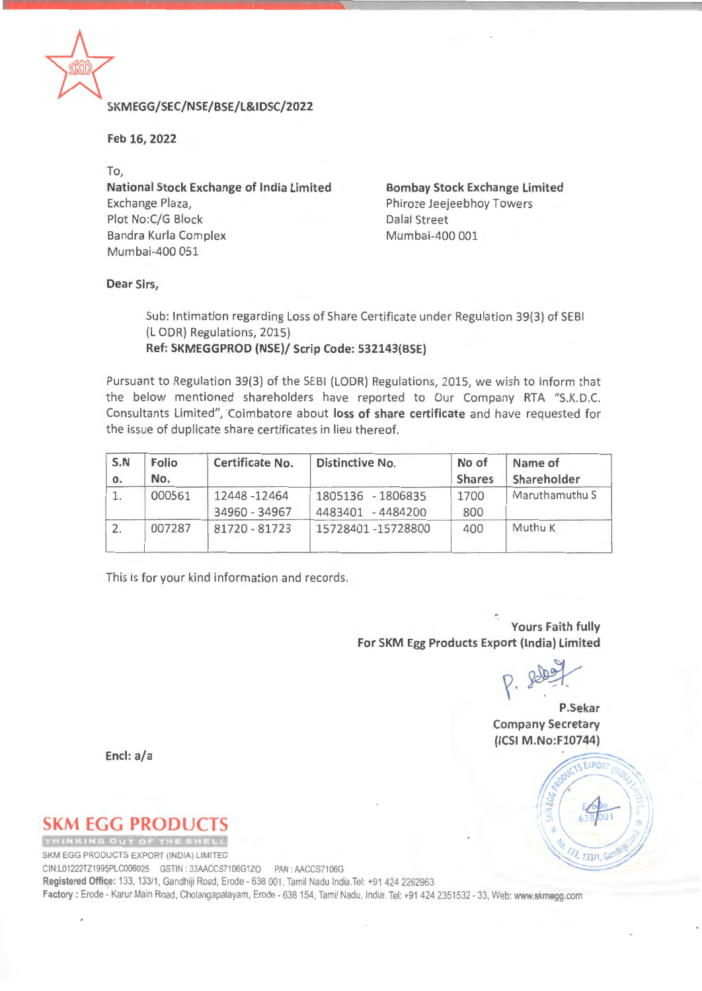

### \* **SKM EGG/SEC/NSE/BSE/L&I DSC/2022**

**Feb 16, 2022** 

To,

**National Stock Exchange of India Limited**  Exchange Plaza, Plot No:C/G Block Dalal Street Bandra Kurla Complex Mumbai-400 001 Mumbai-400 051

**Bombay Stock Exchange Limited**  Phiroze Jeejeebhoy Towers

### **Dear Sirs,**

Sub: Intimation regarding Loss of Share Certificate under Regulation 39(3) of SEBI (L ODR) Regulations, 2015) **Ref: SKMEGGPROD (NSE)/ Scrip Code: 532143(BSE)** 

Pursuant to Regulation 39(3) of the SEBI (LODR) Regulations, 2015, we wish to inform that the below mentioned shareholders have reported to Our Company RTA "S.K.D.C. Consultants Limited", Coimbatore about **loss of share certificate** and have requested for the issue of duplicate share certificates in lieu thereof.

| S.N<br>о. | <b>Folio</b><br>No. | Certificate No. | Distinctive No.       | No of<br><b>Shares</b> | Name of<br>Shareholder |  |
|-----------|---------------------|-----------------|-----------------------|------------------------|------------------------|--|
|           | 000561              | 12448-12464     | 1805136 - 1806835     | 1700                   | Maruthamuthu S         |  |
|           |                     | 34960 - 34967   | 4483401<br>$-4484200$ | 800                    |                        |  |
|           | 007287              | 81720 - 81723   | 15728401-15728800     | 400                    | Muthu K                |  |

This is for your kind information and records.

**Yours Faith fully For SKM Egg Products Export (India) Limited** 

 $P.$  severt

**P.Sekar Company Secretary (ICSI M.No:F10744)** 

**Encl: a/a** 

# **SKM EGG PRODUCTS**

SKM EGG PRODUCTS EXPORT (INDIA) LIMITED

CIN:L01222TZ1995PLC006025 GSTIN. 33AACCS7106G1ZO PAN· AACCS7106G

**Registered Office:** 133. 133/1, Gandhiji Road, Erode - 638 001. Tamil Nadu India.Tel: +91 424 2262963

**Factory:** Erode - Karur Main Road, Cholangapalayam, Erode - 638 154, Tamil Nadu. India. Tel: +91 424 2351532 - 33, Web: www.skmegg.com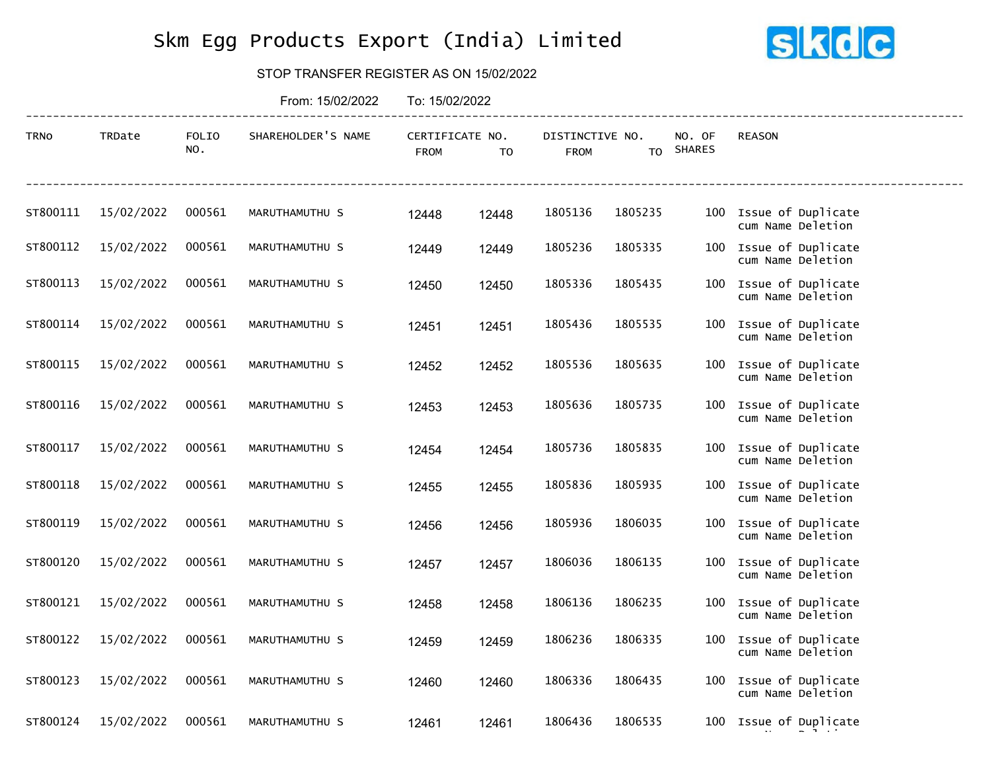## Skm Egg Products Export (India) Limited



#### STOP TRANSFER REGISTER AS ON 15/02/2022

|             |            |              | From: 15/02/2022   | To: 15/02/2022                 |                |                                |                |                         |                                             |
|-------------|------------|--------------|--------------------|--------------------------------|----------------|--------------------------------|----------------|-------------------------|---------------------------------------------|
| <b>TRNO</b> | TRDate     | FOLIO<br>NO. | SHAREHOLDER'S NAME | CERTIFICATE NO.<br><b>FROM</b> | T <sub>0</sub> | DISTINCTIVE NO.<br><b>FROM</b> | T <sub>0</sub> | NO. OF<br><b>SHARES</b> | <b>REASON</b>                               |
| ST800111    | 15/02/2022 | 000561       | MARUTHAMUTHU S     | 12448                          | 12448          | 1805136                        | 1805235        |                         | 100 Issue of Duplicate<br>cum Name Deletion |
| ST800112    | 15/02/2022 | 000561       | MARUTHAMUTHU S     | 12449                          | 12449          | 1805236                        | 1805335        |                         | 100 Issue of Duplicate<br>cum Name Deletion |
| ST800113    | 15/02/2022 | 000561       | MARUTHAMUTHU S     | 12450                          | 12450          | 1805336                        | 1805435        |                         | 100 Issue of Duplicate<br>cum Name Deletion |
| ST800114    | 15/02/2022 | 000561       | MARUTHAMUTHU S     | 12451                          | 12451          | 1805436                        | 1805535        |                         | 100 Issue of Duplicate<br>cum Name Deletion |
| ST800115    | 15/02/2022 | 000561       | MARUTHAMUTHU S     | 12452                          | 12452          | 1805536                        | 1805635        |                         | 100 Issue of Duplicate<br>cum Name Deletion |
| ST800116    | 15/02/2022 | 000561       | MARUTHAMUTHU S     | 12453                          | 12453          | 1805636                        | 1805735        |                         | 100 Issue of Duplicate<br>cum Name Deletion |
| ST800117    | 15/02/2022 | 000561       | MARUTHAMUTHU S     | 12454                          | 12454          | 1805736                        | 1805835        |                         | 100 Issue of Duplicate<br>cum Name Deletion |
| ST800118    | 15/02/2022 | 000561       | MARUTHAMUTHU S     | 12455                          | 12455          | 1805836                        | 1805935        |                         | 100 Issue of Duplicate<br>cum Name Deletion |
| ST800119    | 15/02/2022 | 000561       | MARUTHAMUTHU S     | 12456                          | 12456          | 1805936                        | 1806035        |                         | 100 Issue of Duplicate<br>cum Name Deletion |
| ST800120    | 15/02/2022 | 000561       | MARUTHAMUTHU S     | 12457                          | 12457          | 1806036                        | 1806135        |                         | 100 Issue of Duplicate<br>cum Name Deletion |
| ST800121    | 15/02/2022 | 000561       | MARUTHAMUTHU S     | 12458                          | 12458          | 1806136                        | 1806235        |                         | 100 Issue of Duplicate<br>cum Name Deletion |
| ST800122    | 15/02/2022 | 000561       | MARUTHAMUTHU S     | 12459                          | 12459          | 1806236                        | 1806335        |                         | 100 Issue of Duplicate<br>cum Name Deletion |
| ST800123    | 15/02/2022 | 000561       | MARUTHAMUTHU S     | 12460                          | 12460          | 1806336                        | 1806435        |                         | 100 Issue of Duplicate<br>cum Name Deletion |
| ST800124    | 15/02/2022 | 000561       | MARUTHAMUTHU S     | 12461                          | 12461          | 1806436                        | 1806535        |                         | 100 Issue of Duplicate                      |